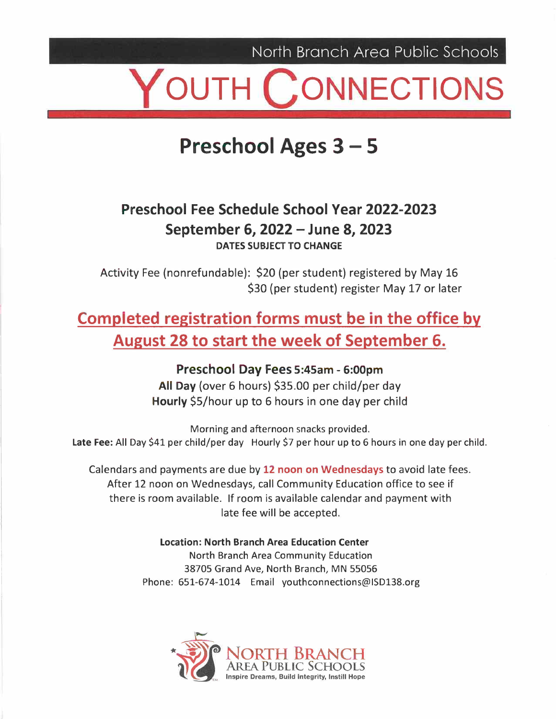North Branch Area Public Schools

# OUTH CONNECTIONS

#### **Preschool Ages3- 5**

#### **Preschool Fee Schedule School Year 2022-2023 September 6, 2022 - June 8, 2023 DATES SUBJECT TO CHANGE**

Activity Fee (nonrefundable): \$20 (per student) registered by May 16 \$30 (per student) register May 17 or later

#### **Completed registration forms must be in the office by August 28 to start the week of September 6.**

**Preschool Day Fees 5:45am - 6:00pm All Day** (over 6 hours) \$35.00 per child/per day **Hourly** \$5/hour up to 6 hours in one day per child

Morning and afternoon snacks provided. Late Fee: All Day \$41 per child/per day Hourly \$7 per hour up to 6 hours in one day per child.

Calendars and payments are due by **12 noon on Wednesdays** to avoid late fees. After 12 noon on Wednesdays, call Community Education office to see if there is room available. If room is available calendar and payment with late fee will be accepted.

> **Location: North Branch Area Education Center**  North Branch Area Community Education 38705 Grand Ave, North Branch, MN 55056 Phone: 651-674-1014 Email youthconnections@ISD138.org

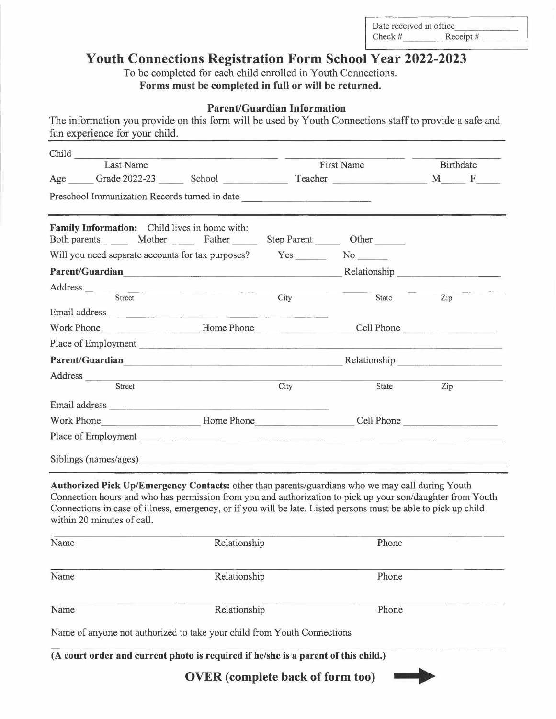D at e re ceived in offi Check #  $\frac{1}{\text{received in office}}$ <br>  $\frac{1}{\text{Accept #}}$ R eceipt # \_  $\text{Reccript} \#$ 

#### **Youth Connections Registration Form School Year 2022-2023**

To be completed for each child enrolled in Youth Connections. **Forms must be completed in full or will be returned.** 

#### **Parent/Guardian Information**

The information you provide on this form will be used by Youth Connections staff to provide a safe and fun experience for your child.

| Last Name                                                                                                                                                                                                                                                                                                                                                       |              |      | First Name                               | Birthdate |  |
|-----------------------------------------------------------------------------------------------------------------------------------------------------------------------------------------------------------------------------------------------------------------------------------------------------------------------------------------------------------------|--------------|------|------------------------------------------|-----------|--|
| Age Grade 2022-23 School Teacher Teacher M F                                                                                                                                                                                                                                                                                                                    |              |      |                                          |           |  |
| Preschool Immunization Records turned in date __________________________________                                                                                                                                                                                                                                                                                |              |      |                                          |           |  |
| <b>Family Information:</b> Child lives in home with:<br>Both parents Mother Father Step Parent Other                                                                                                                                                                                                                                                            |              |      |                                          |           |  |
| Will you need separate accounts for tax purposes?                                                                                                                                                                                                                                                                                                               |              |      | Yes No                                   |           |  |
| Parent/Guardian Relationship Relationship                                                                                                                                                                                                                                                                                                                       |              |      |                                          |           |  |
|                                                                                                                                                                                                                                                                                                                                                                 |              |      |                                          |           |  |
| Address Street                                                                                                                                                                                                                                                                                                                                                  |              | City | State                                    | Zip       |  |
|                                                                                                                                                                                                                                                                                                                                                                 |              |      |                                          |           |  |
| Work Phone <b>Example 2018</b> Home Phone <b>Example 2018</b> Cell Phone                                                                                                                                                                                                                                                                                        |              |      |                                          |           |  |
| Place of Employment                                                                                                                                                                                                                                                                                                                                             |              |      |                                          |           |  |
| Parent/Guardian Relationship Relationship                                                                                                                                                                                                                                                                                                                       |              |      |                                          |           |  |
|                                                                                                                                                                                                                                                                                                                                                                 |              |      |                                          |           |  |
| Street                                                                                                                                                                                                                                                                                                                                                          |              | City | State                                    | Zip       |  |
|                                                                                                                                                                                                                                                                                                                                                                 |              |      |                                          |           |  |
| Work Phone                                                                                                                                                                                                                                                                                                                                                      |              |      | Example 2011 Phone Cell Phone Cell Phone |           |  |
| Place of Employment                                                                                                                                                                                                                                                                                                                                             |              |      |                                          |           |  |
|                                                                                                                                                                                                                                                                                                                                                                 |              |      |                                          |           |  |
| Siblings (names/ages)                                                                                                                                                                                                                                                                                                                                           |              |      |                                          |           |  |
| Authorized Pick Up/Emergency Contacts: other than parents/guardians who we may call during Youth<br>Connection hours and who has permission from you and authorization to pick up your son/daughter from Youth<br>Connections in case of illness, emergency, or if you will be late. Listed persons must be able to pick up child<br>within 20 minutes of call. |              |      |                                          |           |  |
| Name                                                                                                                                                                                                                                                                                                                                                            | Relationship |      | Phone                                    |           |  |
| Name                                                                                                                                                                                                                                                                                                                                                            | Relationship |      | Phone                                    |           |  |
|                                                                                                                                                                                                                                                                                                                                                                 |              |      |                                          |           |  |
| Name                                                                                                                                                                                                                                                                                                                                                            | Relationship |      | Phone                                    |           |  |

**(A court order and current photo is required if he/she is a parent of this child.)** 

**OVER ( complete back of form too)** 

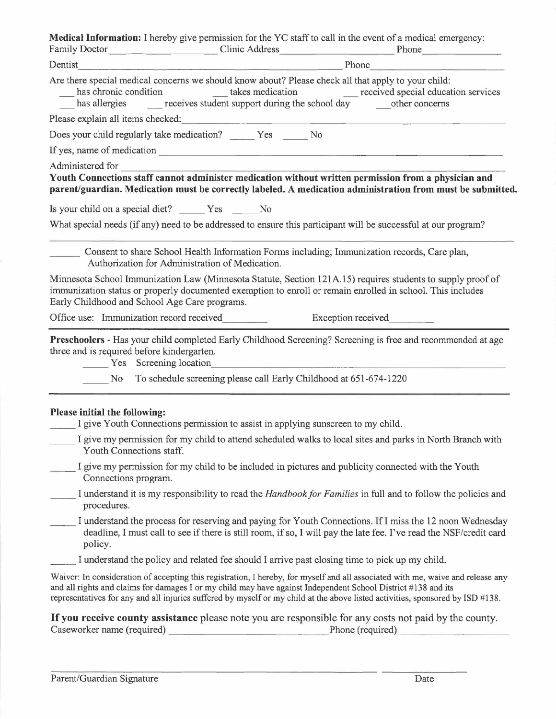|                               | Are there special medical concerns we should know about? Please check all that apply to your child:<br>has chronic condition takes medication received special education services<br>has allergies _______ receives student support during the school day ________ other concerns                                                                                                  |
|-------------------------------|------------------------------------------------------------------------------------------------------------------------------------------------------------------------------------------------------------------------------------------------------------------------------------------------------------------------------------------------------------------------------------|
|                               |                                                                                                                                                                                                                                                                                                                                                                                    |
|                               | Does your child regularly take medication? ______ Yes _____ No                                                                                                                                                                                                                                                                                                                     |
|                               |                                                                                                                                                                                                                                                                                                                                                                                    |
|                               | Administered for<br>Youth Connections staff cannot administer medication without written permission from a physician and                                                                                                                                                                                                                                                           |
|                               | parent/guardian. Medication must be correctly labeled. A medication administration from must be submitted.                                                                                                                                                                                                                                                                         |
|                               | Is your child on a special diet? Yes No                                                                                                                                                                                                                                                                                                                                            |
|                               | What special needs (if any) need to be addressed to ensure this participant will be successful at our program?                                                                                                                                                                                                                                                                     |
|                               |                                                                                                                                                                                                                                                                                                                                                                                    |
|                               | Consent to share School Health Information Forms including; Immunization records, Care plan,<br>Authorization for Administration of Medication.                                                                                                                                                                                                                                    |
|                               | Minnesota School Immunization Law (Minnesota Statute, Section 121A.15) requires students to supply proof of<br>immunization status or properly documented exemption to enroll or remain enrolled in school. This includes<br>Early Childhood and School Age Care programs.                                                                                                         |
|                               | Office use: Immunization record received<br>Exception received                                                                                                                                                                                                                                                                                                                     |
|                               | Preschoolers - Has your child completed Early Childhood Screening? Screening is free and recommended at age<br>three and is required before kindergarten.                                                                                                                                                                                                                          |
|                               | Yes Screening location                                                                                                                                                                                                                                                                                                                                                             |
| No.                           | To schedule screening please call Early Childhood at 651-674-1220                                                                                                                                                                                                                                                                                                                  |
|                               |                                                                                                                                                                                                                                                                                                                                                                                    |
| Please initial the following: | I give Youth Connections permission to assist in applying sunscreen to my child.                                                                                                                                                                                                                                                                                                   |
|                               | I give my permission for my child to attend scheduled walks to local sites and parks in North Branch with                                                                                                                                                                                                                                                                          |
|                               | Youth Connections staff.                                                                                                                                                                                                                                                                                                                                                           |
| Connections program.          | I give my permission for my child to be included in pictures and publicity connected with the Youth                                                                                                                                                                                                                                                                                |
| procedures.                   | I understand it is my responsibility to read the Handbook for Families in full and to follow the policies and                                                                                                                                                                                                                                                                      |
| policy.                       | I understand the process for reserving and paying for Youth Connections. If I miss the 12 noon Wednesday<br>deadline, I must call to see if there is still room, if so, I will pay the late fee. I've read the NSF/credit card                                                                                                                                                     |
|                               | I understand the policy and related fee should I arrive past closing time to pick up my child.                                                                                                                                                                                                                                                                                     |
|                               | Waiver: In consideration of accepting this registration, I hereby, for myself and all associated with me, waive and release any<br>and all rights and claims for damages I or my child may have against Independent School District #138 and its<br>representatives for any and all injuries suffered by myself or my child at the above listed activities, sponsored by ISD #138. |
|                               |                                                                                                                                                                                                                                                                                                                                                                                    |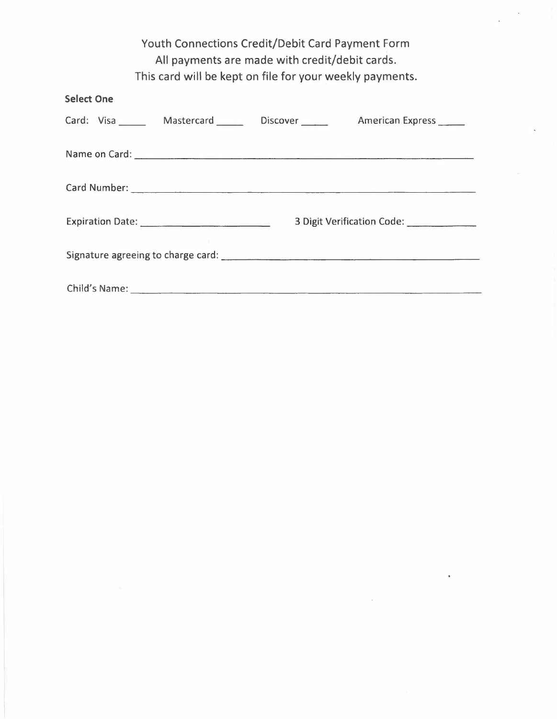| <b>Youth Connections Credit/Debit Card Payment Form</b><br>All payments are made with credit/debit cards.                                                                                                                      |  |  |  |  |  |  |  |  |
|--------------------------------------------------------------------------------------------------------------------------------------------------------------------------------------------------------------------------------|--|--|--|--|--|--|--|--|
| This card will be kept on file for your weekly payments.                                                                                                                                                                       |  |  |  |  |  |  |  |  |
| <b>Select One</b>                                                                                                                                                                                                              |  |  |  |  |  |  |  |  |
| Card: Visa _______ Mastercard ______ Discover ______ American Express _____                                                                                                                                                    |  |  |  |  |  |  |  |  |
|                                                                                                                                                                                                                                |  |  |  |  |  |  |  |  |
|                                                                                                                                                                                                                                |  |  |  |  |  |  |  |  |
| 3 Digit Verification Code: ____________                                                                                                                                                                                        |  |  |  |  |  |  |  |  |
|                                                                                                                                                                                                                                |  |  |  |  |  |  |  |  |
| Child's Name: Name: Name: Name: Name: Name: Name: Name: Name: Name: Name: Name: Name: Name: Name: Name: Name: Name: Name: Name: Name: Name: Name: Name: Name: Name: Name: Name: Name: Name: Name: Name: Name: Name: Name: Name |  |  |  |  |  |  |  |  |

 $\mathcal{L}^{\text{max}}$ 

 $\mathcal{L}^{\mathcal{L}}(\mathcal{L}^{\mathcal{L}}(\mathcal{L}^{\mathcal{L}}(\mathcal{L}^{\mathcal{L}}(\mathcal{L}^{\mathcal{L}}(\mathcal{L}^{\mathcal{L}}(\mathcal{L}^{\mathcal{L}}(\mathcal{L}^{\mathcal{L}}(\mathcal{L}^{\mathcal{L}}(\mathcal{L}^{\mathcal{L}}(\mathcal{L}^{\mathcal{L}}(\mathcal{L}^{\mathcal{L}}(\mathcal{L}^{\mathcal{L}}(\mathcal{L}^{\mathcal{L}}(\mathcal{L}^{\mathcal{L}}(\mathcal{L}^{\mathcal{L}}(\mathcal{L}^{\mathcal{L$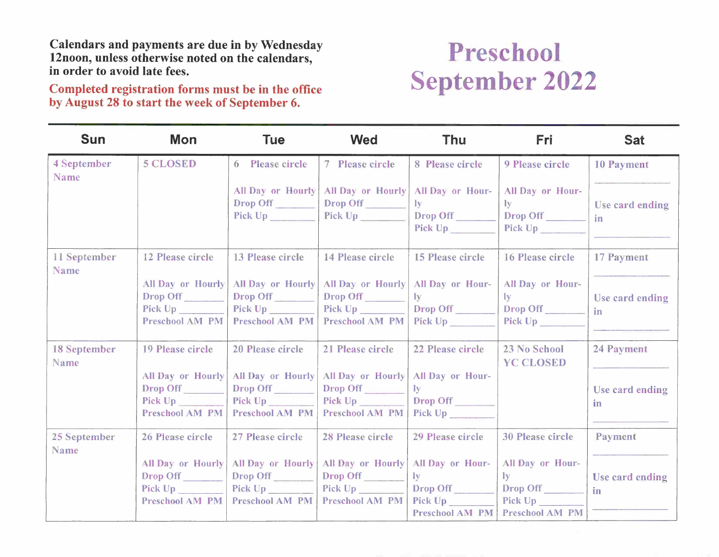Completed registration forms must be in the office by August 28 to start the week of September 6.

### Preschool September 2022

| <b>Sun</b>                  | Mon                                                                                                                                                                                                                            | <b>Tue</b>               | <b>Wed</b>                           | <b>Thu</b>                         | <b>Fri</b>                      | <b>Sat</b>            |
|-----------------------------|--------------------------------------------------------------------------------------------------------------------------------------------------------------------------------------------------------------------------------|--------------------------|--------------------------------------|------------------------------------|---------------------------------|-----------------------|
| 4 September<br>Name         | <b>5 CLOSED</b>                                                                                                                                                                                                                | 6 Please circle          | 7 Please circle                      | 8 Please circle                    | 9 Please circle                 | <b>10 Payment</b>     |
|                             |                                                                                                                                                                                                                                | All Day or Hourly        | All Day or Hourly                    | All Day or Hour-                   | All Day or Hour-                |                       |
|                             |                                                                                                                                                                                                                                | Drop Off<br>Pick Up      | Drop Off<br>Pick Up                  | $\mathbf{I}\mathbf{v}$<br>Drop Off | $\mathbf{I}$ y<br>Drop Off      | Use card ending<br>in |
|                             |                                                                                                                                                                                                                                |                          |                                      | Pick Up                            | Pick $Up$                       |                       |
|                             |                                                                                                                                                                                                                                |                          |                                      |                                    |                                 |                       |
| 11 September<br><b>Name</b> | 12 Please circle                                                                                                                                                                                                               | 13 Please circle         | 14 Please circle                     | 15 Please circle                   | 16 Please circle                | 17 Payment            |
|                             | <b>All Day or Hourly</b>                                                                                                                                                                                                       | All Day or Hourly        | All Day or Hourly   All Day or Hour- |                                    | All Day or Hour-                |                       |
|                             | Drop Off                                                                                                                                                                                                                       | Drop Off                 | Drop Off                             | $I_{V}$                            | $\bf{I}$                        | Use card ending       |
|                             | Pick Up                                                                                                                                                                                                                        |                          | Pick Up                              | Drop Off                           | Drop Off                        | in                    |
|                             | <b>Preschool AM PM</b>                                                                                                                                                                                                         | <b>Preschool AM PM</b>   | <b>Preschool AM PM</b>               |                                    |                                 |                       |
| <b>18 September</b>         | 19 Please circle                                                                                                                                                                                                               | 20 Please circle         | 21 Please circle                     | 22 Please circle                   | 23 No School                    | 24 Payment            |
| Name                        |                                                                                                                                                                                                                                |                          |                                      |                                    | <b>YC CLOSED</b>                |                       |
|                             | All Day or Hourly                                                                                                                                                                                                              | <b>All Day or Hourly</b> | <b>All Day or Hourly</b>             | All Day or Hour-                   |                                 |                       |
|                             | Drop Off                                                                                                                                                                                                                       | Drop Off                 | Drop Off                             | ly                                 |                                 | Use card ending       |
|                             | Pick Up and the state of the state of the state of the state of the state of the state of the state of the state of the state of the state of the state of the state of the state of the state of the state of the state of th | Pick Up                  | Pick Up 2000                         | Drop Off                           |                                 | in                    |
|                             | <b>Preschool AM PM</b>                                                                                                                                                                                                         | Preschool AM PM          | <b>Preschool AM PM</b>               | Pick Up                            |                                 |                       |
| 25 September                | 26 Please circle                                                                                                                                                                                                               | 27 Please circle         | 28 Please circle                     | 29 Please circle                   | <b>30 Please circle</b>         | Payment               |
| <b>Name</b>                 |                                                                                                                                                                                                                                |                          |                                      |                                    |                                 |                       |
|                             | <b>All Day or Hourly</b>                                                                                                                                                                                                       | All Day or Hourly        | All Day or Hourly                    | All Day or Hour-                   | All Day or Hour-                |                       |
|                             | Drop Off                                                                                                                                                                                                                       | Drop Off                 | Drop Off                             | $\mathbf{I}\mathbf{v}$             | $\mathbf{I}$ y                  | Use card ending       |
|                             | Pick Up                                                                                                                                                                                                                        | Pick Up                  | Pick Up                              | Drop Off                           | Drop Off                        | in                    |
|                             | <b>Preschool AM PM</b>                                                                                                                                                                                                         | Preschool AM PM          | <b>Preschool AM PM</b>               | Pick Up                            | Pick Up                         |                       |
|                             |                                                                                                                                                                                                                                |                          |                                      |                                    | Preschool AM PM Preschool AM PM |                       |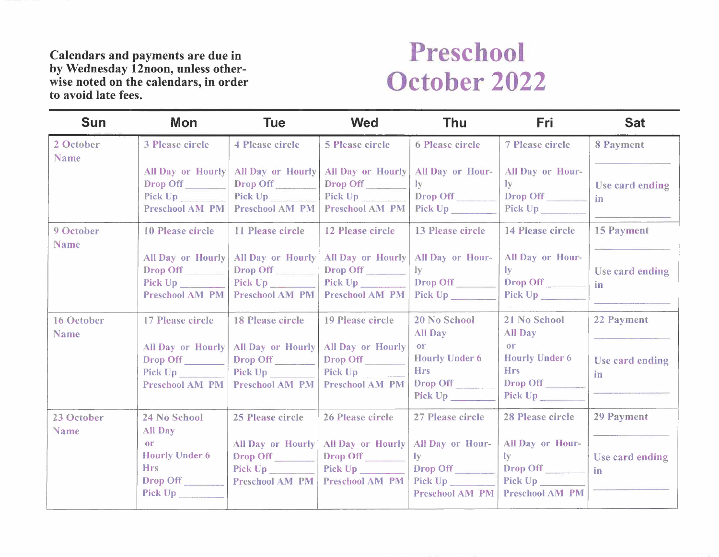### Preschool October 2022

| <b>Sun</b>                | <b>Mon</b>                                                                  | <b>Tue</b>                                                           | <b>Wed</b>                                                         | <b>Thu</b>                                                                  | <b>Fri</b>                                                                          | <b>Sat</b>            |
|---------------------------|-----------------------------------------------------------------------------|----------------------------------------------------------------------|--------------------------------------------------------------------|-----------------------------------------------------------------------------|-------------------------------------------------------------------------------------|-----------------------|
| 2 October<br>Name         | <b>3 Please circle</b>                                                      | <b>4 Please circle</b>                                               | <b>5 Please circle</b>                                             | 6 Please circle                                                             | 7 Please circle                                                                     | 8 Payment             |
|                           | All Day or Hourly<br>Drop Off<br>Pick Up<br>Preschool AM PM                 | All Day or Hourly<br>Drop Off<br>Pick Up<br><b>Preschool AM PM</b>   | All Day or Hourly<br>Drop Off<br>Pick Up<br>Preschool AM PM        | All Day or Hour-<br>$\bf{I}$ <sub>y</sub><br>Drop Off<br>Pick Up            | All Day or Hour-<br>$\mathbf{I} \mathbf{v}$<br>Drop Off                             | Use card ending<br>in |
| 9 October<br><b>Name</b>  | 10 Please circle                                                            | 11 Please circle                                                     | 12 Please circle                                                   | <b>13 Please circle</b>                                                     | 14 Please circle                                                                    | <b>15 Payment</b>     |
|                           | Drop Off<br>Pick Up<br><b>Preschool AM PM</b>                               | All Day or Hourly   All Day or Hourly<br>Drop Off<br>Preschool AM PM | All Day or Hourly<br>Drop Off<br>Pick Up<br><b>Preschool AM PM</b> | All Day or Hour-<br>1v<br>Drop Off<br>Pick Up                               | All Day or Hour-<br>$\mathbf{I} \mathbf{v}$<br>Drop Off                             | Use card ending<br>in |
| 16 October<br><b>Name</b> | 17 Please circle                                                            | <b>18 Please circle</b>                                              | 19 Please circle                                                   | 20 No School<br><b>All Day</b>                                              | 21 No School<br><b>All Day</b>                                                      | 22 Payment            |
|                           | All Day or Hourly<br>Drop Off<br>Pick Up<br><b>Preschool AM PM</b>          | All Day or Hourly<br>Drop Off<br>Pick Up<br><b>Preschool AM PM</b>   | All Day or Hourly<br>Drop Off<br>Pick Up<br><b>Preschool AM PM</b> | <sub>or</sub><br><b>Hourly Under 6</b><br><b>Hrs</b><br>Drop Off<br>Pick Up | or<br><b>Hourly Under 6</b><br><b>Hrs</b><br>Drop Off<br>Pick Up <sub>_______</sub> | Use card ending<br>in |
| 23 October<br><b>Name</b> | 24 No School<br><b>All Day</b>                                              | 25 Please circle                                                     | 26 Please circle                                                   | 27 Please circle                                                            | 28 Please circle                                                                    | 29 Payment            |
|                           | <sub>or</sub><br><b>Hourly Under 6</b><br><b>Hrs</b><br>Drop Off<br>Pick Up | All Day or Hourly<br>Drop Off<br>Pick Up<br>Preschool AM PM          | All Day or Hourly<br>Drop Off<br><b>Preschool AM PM</b>            | All Day or Hour-<br>ly<br>Drop Off<br>Pick Up Figures<br>Preschool AM PM    | All Day or Hour-<br>Iv<br>Drop Off<br>Pick Up<br><b>Preschool AM PM</b>             | Use card ending<br>in |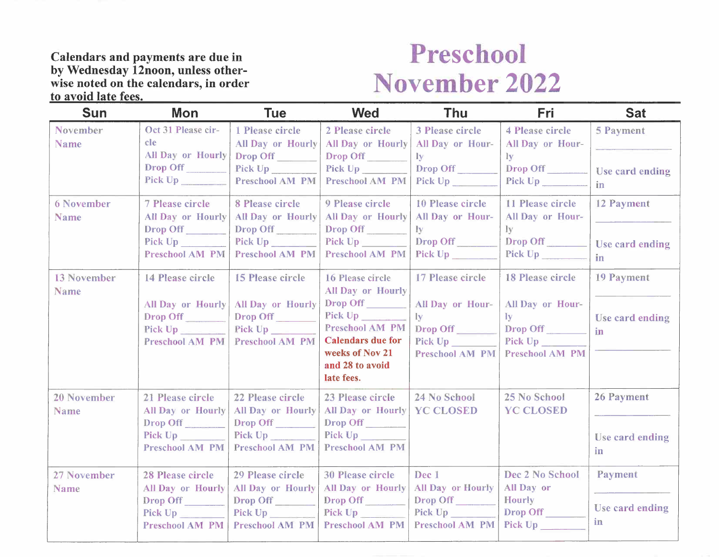### **Preschool November 2022**

| <b>Sun</b>                       | Mon                                                                                    | <b>Tue</b>                                                                                           | <b>Wed</b>                                                                                                                                                                    | <b>Thu</b>                                                                                         | Fri                                                                                                       | <b>Sat</b>                                |
|----------------------------------|----------------------------------------------------------------------------------------|------------------------------------------------------------------------------------------------------|-------------------------------------------------------------------------------------------------------------------------------------------------------------------------------|----------------------------------------------------------------------------------------------------|-----------------------------------------------------------------------------------------------------------|-------------------------------------------|
| <b>November</b><br><b>Name</b>   | Oct 31 Please cir-<br>cle<br><b>All Day or Hourly</b><br>Drop Off                      | 1 Please circle<br><b>All Day or Hourly</b><br>Drop Off<br>Pick Up<br>Preschool AM PM                | 2 Please circle<br>All Day or Hourly<br><b>Drop Off</b><br>Pick Up<br>Preschool AM PM                                                                                         | 3 Please circle<br>All Day or Hour-<br>Iy.<br>Drop Off<br>Pick Up                                  | <b>4 Please circle</b><br>All Day or Hour-<br>ly<br>Drop Off<br>Pick Up                                   | <b>5 Payment</b><br>Use card ending<br>in |
| <b>6 November</b><br><b>Name</b> | 7 Please circle<br>All Day or Hourly<br>Drop Off<br>Pick Up<br>Preschool AM PM         | 8 Please circle<br>All Day or Hourly<br>Drop Off<br>Pick Up<br><b>Preschool AM PM</b>                | 9 Please circle<br>All Day or Hourly<br>Drop Off<br>Preschool AM PM                                                                                                           | 10 Please circle<br>All Day or Hour-<br>$\bf{I}$ <sub>y</sub><br>Drop Off<br>Pick Up               | 11 Please circle<br>All Day or Hour-<br>$\mathbf{I}\mathbf{v}$<br>Drop Off<br>Pick Up                     | 12 Payment<br>Use card ending<br>in       |
| <b>13 November</b><br>Name       | 14 Please circle<br>All Day or Hourly<br>Drop Off<br>Pick Up<br>Preschool AM PM        | <b>15 Please circle</b><br><b>All Day or Hourly</b><br>Drop Off<br>Pick Up<br><b>Preschool AM PM</b> | 16 Please circle<br><b>All Day or Hourly</b><br>Drop Off<br>Pick Up<br><b>Preschool AM PM</b><br><b>Calendars due for</b><br>weeks of Nov 21<br>and 28 to avoid<br>late fees. | 17 Please circle<br>All Day or Hour-<br>$I_{\mathbf{y}}$<br>Drop Off<br>Pick Up<br>Preschool AM PM | <b>18 Please circle</b><br>All Day or Hour-<br>$I_{\mathbf{V}}$<br>Drop Off<br>Pick Up<br>Preschool AM PM | 19 Payment<br>Use card ending<br>in       |
| <b>20 November</b><br>Name       | 21 Please circle<br>All Day or Hourly<br>Drop Off<br>Pick Up<br><b>Preschool AM PM</b> | 22 Please circle<br>All Day or Hourly<br>Drop Off<br>Pick Up<br><b>Preschool AM PM</b>               | 23 Please circle<br>All Day or Hourly<br>Drop Off<br>Pick Up<br><b>Preschool AM PM</b>                                                                                        | 24 No School<br><b>YC CLOSED</b>                                                                   | 25 No School<br><b>YC CLOSED</b>                                                                          | 26 Payment<br>Use card ending<br>in       |
| 27 November<br>Name              | <b>28 Please circle</b><br>All Day or Hourly<br>Drop Off<br>Pick Up<br>Preschool AM PM | 29 Please circle<br>All Day or Hourly<br>Drop Off<br>Pick Up<br>Preschool AM PM                      | <b>30 Please circle</b><br><b>All Day or Hourly</b><br>Drop Off<br>Pick Up<br><b>Preschool AM PM</b>                                                                          | Dec 1<br><b>All Day or Hourly</b><br>Drop Off<br>Pick Up<br><b>Preschool AM PM</b>                 | Dec 2 No School<br>All Day or<br><b>Hourly</b><br>Drop Off<br>Pick Up                                     | Payment<br>Use card ending<br>in          |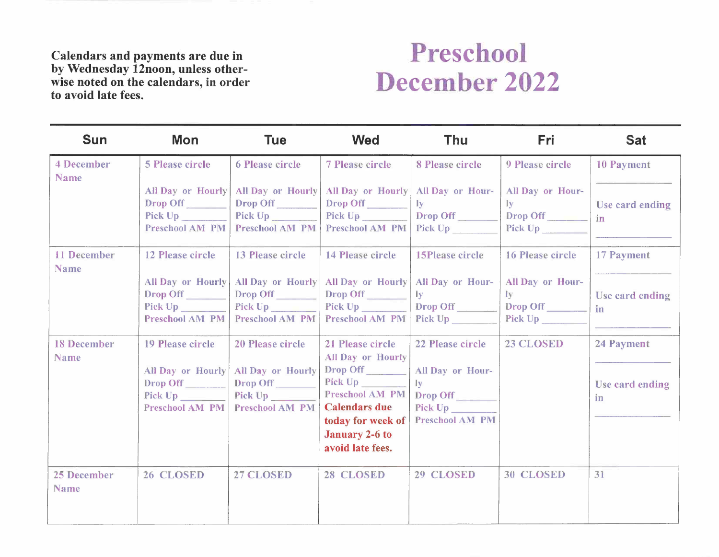### **Preschool December 2022**

| <b>Sun</b>                       | <b>Mon</b>                           | <b>Tue</b>                                         | <b>Wed</b>                                 | Thu                                         | Fri                                  | <b>Sat</b>        |
|----------------------------------|--------------------------------------|----------------------------------------------------|--------------------------------------------|---------------------------------------------|--------------------------------------|-------------------|
| <b>4 December</b><br><b>Name</b> | <b>5 Please circle</b>               | <b>6 Please circle</b>                             | <b>7 Please circle</b>                     | 8 Please circle                             | 9 Please circle                      | <b>10 Payment</b> |
|                                  | Drop Off                             | All Day or Hourly   All Day or Hourly<br>Drop Off  | All Day or Hourly<br>Drop Off              | All Day or Hour-<br>$I_{\mathbf{V}}$        | All Day or Hour-<br>$I_{\mathbf{y}}$ | Use card ending   |
|                                  | Pick Up<br>Preschool AM PM           | Pick Up<br>Preschool AM PM                         | Pick Up<br><b>Preschool AM PM</b>          | Drop Off<br>Pick Up                         | Drop Off<br>Pick Up                  | in                |
| <b>11 December</b>               | 12 Please circle                     | 13 Please circle                                   | 14 Please circle                           | <b>15Please circle</b>                      | 16 Please circle                     | 17 Payment        |
| <b>Name</b>                      | Drop Off                             | All Day or Hourly   All Day or Hourly<br>Drop Off  | All Day or Hourly<br>Drop Off              | All Day or Hour-<br>$\mathbf{I} \mathbf{v}$ | All Day or Hour-<br>$I_{\rm V}$      | Use card ending   |
|                                  | Preschool AM PM                      | <b>Preschool AM PM</b>                             | Pick Up<br>Preschool AM PM                 | Drop Off<br>Pick Up                         | Drop Off                             | in                |
| <b>18 December</b>               | 19 Please circle                     | 20 Please circle                                   | 21 Please circle                           | 22 Please circle                            | 23 CLOSED                            | 24 Payment        |
| Name                             |                                      |                                                    | <b>All Day or Hourly</b>                   |                                             |                                      |                   |
|                                  | <b>All Day or Hourly</b><br>Drop Off | <b>All Day or Hourly</b><br>Drop Off               | Drop Off<br>Pick Up                        | All Day or Hour-<br>$\bf{I}$                |                                      | Use card ending   |
|                                  | Pick Up<br><b>Preschool AM PM</b>    | Pick Up <sub>_____</sub><br><b>Preschool AM PM</b> | Preschool AM PM<br><b>Calendars due</b>    | Drop Off<br>Pick Up                         |                                      | in.               |
|                                  |                                      |                                                    | today for week of<br><b>January 2-6 to</b> | <b>Preschool AM PM</b>                      |                                      |                   |
|                                  |                                      |                                                    | avoid late fees.                           |                                             |                                      |                   |
| 25 December<br><b>Name</b>       | 26 CLOSED                            | 27 CLOSED                                          | 28 CLOSED                                  | 29 CLOSED                                   | <b>30 CLOSED</b>                     | 31                |
|                                  |                                      |                                                    |                                            |                                             |                                      |                   |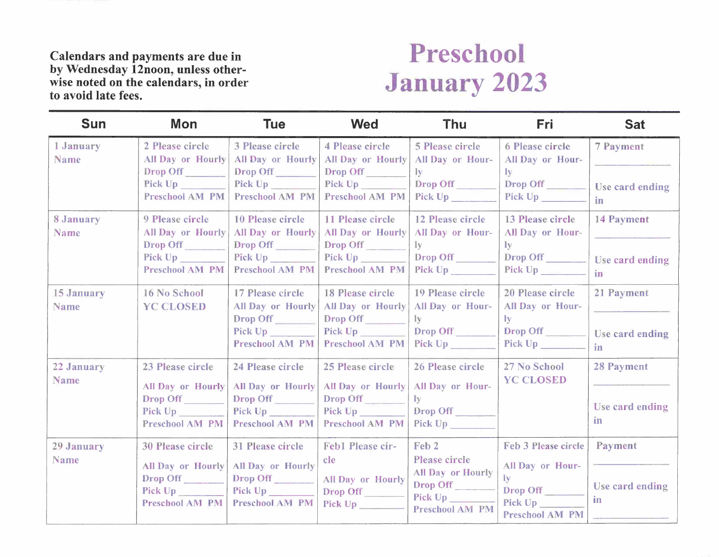## **Preschool January 2023**

| <b>Sun</b>                | Mon                                                                                                                    | <b>Tue</b>                                                                                             | <b>Wed</b>                                                                             | <b>Thu</b>                                                                                              | <b>Fri</b>                                                                                                 | <b>Sat</b>                                 |
|---------------------------|------------------------------------------------------------------------------------------------------------------------|--------------------------------------------------------------------------------------------------------|----------------------------------------------------------------------------------------|---------------------------------------------------------------------------------------------------------|------------------------------------------------------------------------------------------------------------|--------------------------------------------|
| 1 January<br><b>Name</b>  | 2 Please circle<br><b>All Day or Hourly</b><br>Drop Off<br>Pick Up and Dental Street, the Up<br><b>Preschool AM PM</b> | 3 Please circle<br><b>All Day or Hourly</b><br>Drop Off<br>Pick Up<br><b>Preschool AM PM</b>           | 4 Please circle<br>All Day or Hourly<br>Drop Off<br>Pick Up<br>Preschool AM PM         | <b>5 Please circle</b><br>All Day or Hour-<br>$I_{\mathbf{V}}$<br>Drop Off<br>Pick Up                   | <b>6 Please circle</b><br>All Day or Hour-<br>$\mathbf{I} \mathbf{y}$<br>Drop Off                          | 7 Payment<br>Use card ending<br>in         |
| 8 January<br>Name         | 9 Please circle<br>All Day or Hourly<br>Drop Off<br>Pick Up<br>Preschool AM PM                                         | <b>10 Please circle</b><br><b>All Day or Hourly</b><br>Drop Off<br>Preschool AM PM                     | 11 Please circle<br>All Day or Hourly<br>Drop Off<br>Pick Up<br>Preschool AM PM        | 12 Please circle<br>All Day or Hour-<br>1 <sub>V</sub><br>Drop Off<br>Pick Up                           | 13 Please circle<br>All Day or Hour-<br>$\mathbf{I}\mathbf{v}$<br>Drop Off<br>Pick Up                      | 14 Payment<br>Use card ending<br>in        |
| 15 January<br><b>Name</b> | 16 No School<br><b>YC CLOSED</b>                                                                                       | 17 Please circle<br><b>All Day or Hourly</b><br>Drop Off<br>Pick Up No. 1994<br><b>Preschool AM PM</b> | 18 Please circle<br>All Day or Hourly<br>Drop Off<br>Pick Up<br><b>Preschool AM PM</b> | 19 Please circle<br>All Day or Hour-<br>1y<br>Drop Off<br>Pick Up <sub>______</sub>                     | 20 Please circle<br>All Day or Hour-<br>$\mathbf{I}$ v<br>Drop Off<br>Pick Up No. 1994                     | 21 Payment<br>Use card ending<br>in        |
| 22 January<br><b>Name</b> | 23 Please circle<br><b>All Day or Hourly</b><br>Drop Off<br>Pick Up<br>Preschool AM PM                                 | 24 Please circle<br><b>All Day or Hourly</b><br>Drop Off<br>Pick Up<br>Preschool AM PM                 | 25 Please circle<br><b>All Day or Hourly</b><br>Drop Off<br>Pick Up<br>Preschool AM PM | 26 Please circle<br>All Day or Hour-<br>$\mathbf{I}$<br>Drop Off<br>Pick Up                             | 27 No School<br><b>YC CLOSED</b>                                                                           | <b>28 Payment</b><br>Use card ending<br>in |
| 29 January<br>Name        | <b>30 Please circle</b><br><b>All Day or Hourly</b><br>Drop Off<br>Pick Up<br>Preschool AM PM                          | <b>31 Please circle</b><br>All Day or Hourly<br>Drop Off<br>Pick Up<br>Preschool AM PM                 | Feb1 Please cir-<br>cle<br>All Day or Hourly<br>Drop Off<br>Pick Up                    | Feb <sub>2</sub><br>Please circle<br>All Day or Hourly<br>Drop Off<br>Pick Up<br><b>Preschool AM PM</b> | Feb 3 Please circle<br>All Day or Hour-<br>$\mathbf{I}$ v<br>Drop Off<br>Pick Up<br><b>Preschool AM PM</b> | Payment<br>Use card ending<br>in           |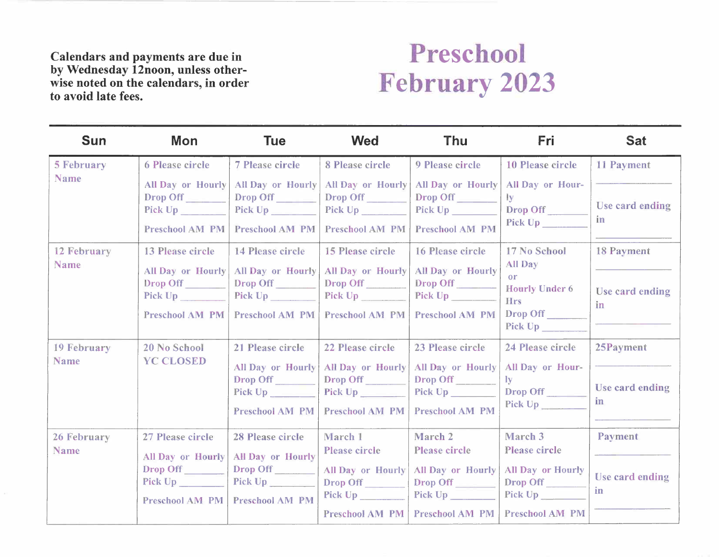### **Preschool February 2023**

| <b>Sun</b>                                              | <b>Mon</b>                                                                                                                     | <b>Tue</b>                                                                                                              | <b>Wed</b>                                                                                                | <b>Thu</b>                                                                                                       | <b>Fri</b>                                                                                                      | <b>Sat</b>                                                      |
|---------------------------------------------------------|--------------------------------------------------------------------------------------------------------------------------------|-------------------------------------------------------------------------------------------------------------------------|-----------------------------------------------------------------------------------------------------------|------------------------------------------------------------------------------------------------------------------|-----------------------------------------------------------------------------------------------------------------|-----------------------------------------------------------------|
| <b>5 February</b><br><b>Name</b><br>12 February<br>Name | <b>6 Please circle</b><br>All Day or Hourly<br>Drop Off<br>Pick Up<br><b>Preschool AM PM</b><br>13 Please circle               | <b>7 Please circle</b><br><b>All Day or Hourly</b><br>Drop Off<br>Pick Up<br><b>Preschool AM PM</b><br>14 Please circle | 8 Please circle<br>All Day or Hourly<br>Drop Off<br>Pick Up<br><b>Preschool AM PM</b><br>15 Please circle | 9 Please circle<br><b>All Day or Hourly</b><br>Drop Off<br>Pick Up<br><b>Preschool AM PM</b><br>16 Please circle | 10 Please circle<br>All Day or Hour-<br>ly<br>Drop Off<br>17 No School<br>All Day                               | <b>11 Payment</b><br>Use card ending<br>in<br><b>18 Payment</b> |
|                                                         | All Day or Hourly<br>Drop Off<br>Pick Up<br><b>Preschool AM PM</b>                                                             | All Day or Hourly<br>Drop Off<br>Pick $Up$<br><b>Preschool AM PM</b>                                                    | All Day or Hourly<br>Drop Off<br>Pick Up<br><b>Preschool AM PM</b>                                        | All Day or Hourly<br>Drop Off<br>Pick Up <b>Example 2</b><br>Preschool AM PM                                     | or<br><b>Hourly Under 6</b><br><b>Hrs</b><br>Drop Off<br>Pick Up                                                | Use card ending<br>in                                           |
| 19 February<br>Name                                     | 20 No School<br><b>YC CLOSED</b>                                                                                               | 21 Please circle<br>All Day or Hourly<br>Drop Off<br><b>Preschool AM PM</b>                                             | 22 Please circle<br>All Day or Hourly<br>Drop Off<br>Pick $Up$<br><b>Preschool AM PM</b>                  | 23 Please circle<br>All Day or Hourly<br>Drop Off<br><b>Preschool AM PM</b>                                      | 24 Please circle<br>All Day or Hour-<br>$\mathbf{I}\mathbf{v}$<br>Drop Off<br>Pick Up                           | 25Payment<br>Use card ending<br>in.                             |
| 26 February<br><b>Name</b>                              | 27 Please circle<br><b>All Day or Hourly</b><br>Drop Off<br>Pick Up <b>Exercise Service Service Service</b><br>Preschool AM PM | 28 Please circle<br>All Day or Hourly<br>Drop Off<br>Pick $Up$ _____<br><b>Preschool AM PM</b>                          | March 1<br><b>Please circle</b><br>All Day or Hourly<br>Drop Off<br>Pick Up<br><b>Preschool AM PM</b>     | March 2<br><b>Please circle</b><br>All Day or Hourly<br>Drop Off<br><b>Preschool AM PM</b>                       | March 3<br>Please circle<br>All Day or Hourly<br>Drop Off<br>Pick Up <b>Example 2</b><br><b>Preschool AM PM</b> | Payment<br>Use card ending<br>in                                |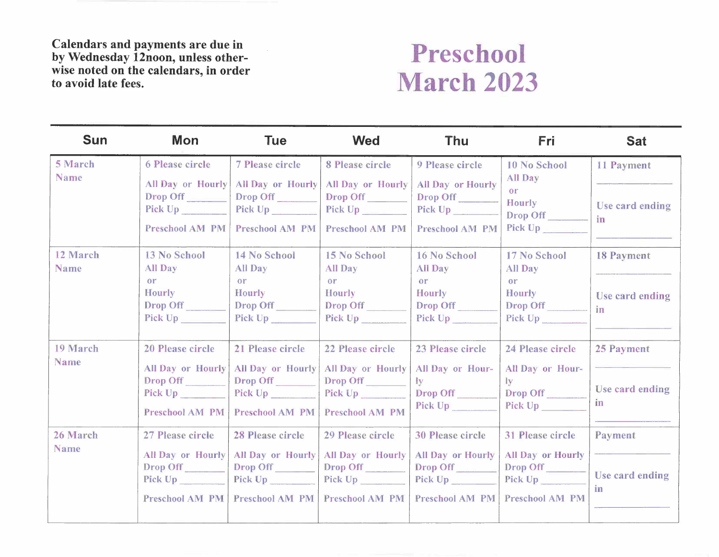

| <b>Sun</b>              | <b>Mon</b>                                                                                                                                                                                                                                                                                                   | <b>Tue</b>                                                                                   | <b>Wed</b>                                                                             | <b>Thu</b>                                                                                                  | <b>Fri</b>                                                                                    | <b>Sat</b>                                 |
|-------------------------|--------------------------------------------------------------------------------------------------------------------------------------------------------------------------------------------------------------------------------------------------------------------------------------------------------------|----------------------------------------------------------------------------------------------|----------------------------------------------------------------------------------------|-------------------------------------------------------------------------------------------------------------|-----------------------------------------------------------------------------------------------|--------------------------------------------|
| 5 March<br><b>Name</b>  | 6 Please circle<br>All Day or Hourly<br>Drop Off<br>Pick Up and the state of the state of the state of the state of the state of the state of the state of the state of the state of the state of the state of the state of the state of the state of the state of the state of th<br><b>Preschool AM PM</b> | <b>7 Please circle</b><br>All Day or Hourly<br>Drop Off<br>Pick Up<br><b>Preschool AM PM</b> | 8 Please circle<br>All Day or Hourly<br>Drop Off<br>Pick Up<br><b>Preschool AM PM</b>  | 9 Please circle<br><b>All Day or Hourly</b><br>Drop Off<br>Pick Up <sub>per</sub><br><b>Preschool AM PM</b> | 10 No School<br>All Day<br><b>or</b><br>Hourly<br>Drop Off                                    | 11 Payment<br>Use card ending<br>in        |
| 12 March<br><b>Name</b> | 13 No School<br>All Day<br>or<br><b>Hourly</b><br>Drop Off<br>Pick Up                                                                                                                                                                                                                                        | 14 No School<br>All Day<br><b>or</b><br><b>Hourly</b><br>Drop Off<br>Pick Up                 | 15 No School<br>All Day<br>or<br><b>Hourly</b><br>Drop Off<br>Pick Up                  | 16 No School<br>All Day<br>or<br><b>Hourly</b><br>Drop Off<br>Pick Up                                       | 17 No School<br>All Day<br><sub>or</sub><br><b>Hourly</b><br>Drop Off<br>Pick Up              | <b>18 Payment</b><br>Use card ending<br>in |
| 19 March<br>Name        | 20 Please circle<br><b>All Day or Hourly</b><br>Drop Off<br>Pick Up<br><b>Preschool AM PM</b>                                                                                                                                                                                                                | 21 Please circle<br>All Day or Hourly<br>Drop Off<br>Pick Up<br><b>Preschool AM PM</b>       | 22 Please circle<br>All Day or Hourly<br>Drop Off<br>Pick Up<br><b>Preschool AM PM</b> | 23 Please circle<br>All Day or Hour-<br>$\mathbf{I}$ y<br>Drop Off<br>Pick Up                               | 24 Please circle<br><b>All Day or Hour-</b><br>$\mathbf{I}\mathbf{v}$<br>Drop Off<br>Pick Up  | 25 Payment<br>Use card ending<br>in        |
| 26 March<br><b>Name</b> | 27 Please circle<br><b>All Day or Hourly</b><br>Drop Off<br>Pick Up <sub>_________</sub><br>Preschool AM PM                                                                                                                                                                                                  | 28 Please circle<br>All Day or Hourly<br>Drop Off<br>Pick $Up$<br>Preschool AM PM            | 29 Please circle<br><b>All Day or Hourly</b><br>Drop Off<br><b>Preschool AM PM</b>     | <b>30 Please circle</b><br><b>All Day or Hourly</b><br>Drop Off<br><b>Preschool AM PM</b>                   | 31 Please circle<br><b>All Day or Hourly</b><br>Drop Off<br>Pick Up<br><b>Preschool AM PM</b> | Payment<br>Use card ending<br><i>in</i>    |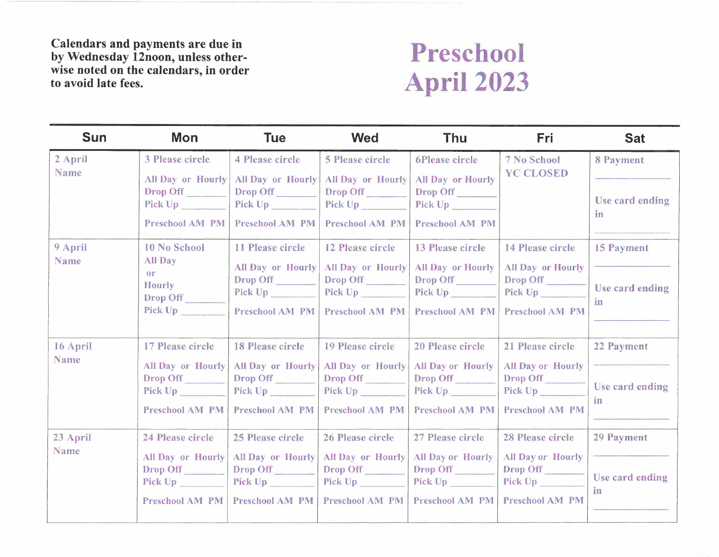

| <b>Sun</b>             | Mon                                                                                           | <b>Tue</b>                                                                               | <b>Wed</b>                                                                                          | <b>Thu</b>                                                                                  | <b>Fri</b>                                                                                                     | <b>Sat</b>                                 |
|------------------------|-----------------------------------------------------------------------------------------------|------------------------------------------------------------------------------------------|-----------------------------------------------------------------------------------------------------|---------------------------------------------------------------------------------------------|----------------------------------------------------------------------------------------------------------------|--------------------------------------------|
| 2 April<br><b>Name</b> | 3 Please circle<br><b>All Day or Hourly</b><br>Drop Off<br>Pick Up<br><b>Preschool AM PM</b>  | 4 Please circle<br>All Day or Hourly<br>Drop Off<br>Pick Up<br><b>Preschool AM PM</b>    | <b>5 Please circle</b><br><b>All Day or Hourly</b><br>Drop Off<br>Pick Up<br><b>Preschool AM PM</b> | 6Please circle<br><b>All Day or Hourly</b><br>Drop Off<br>Pick Up<br><b>Preschool AM PM</b> | <b>7 No School</b><br><b>YC CLOSED</b>                                                                         | 8 Payment<br>Use card ending<br>in.        |
| 9 April<br>Name        | 10 No School<br>All Day<br>or<br><b>Hourly</b><br>Drop Off<br>Pick Up                         | 11 Please circle<br><b>All Day or Hourly</b><br>Drop Off<br>Pick Up<br>Preschool AM PM   | 12 Please circle<br>All Day or Hourly<br>Drop Off<br><b>Preschool AM PM</b>                         | 13 Please circle<br>All Day or Hourly<br>Drop Off<br>Pick $Up$<br><b>Preschool AM PM</b>    | 14 Please circle<br><b>All Day or Hourly</b><br>Drop Off<br><b>Preschool AM PM</b>                             | 15 Payment<br>Use card ending<br><i>in</i> |
| 16 April<br>Name       | 17 Please circle<br>All Day or Hourly<br>Drop Off<br>Preschool AM PM                          | <b>18 Please circle</b><br>All Day or Hourly<br>Drop Off<br>Preschool AM PM              | 19 Please circle<br>All Day or Hourly<br>Drop Off<br><b>Preschool AM PM</b>                         | 20 Please circle<br>All Day or Hourly<br>Drop Off<br>Pick Up<br><b>Preschool AM PM</b>      | 21 Please circle<br><b>All Day or Hourly</b><br>Drop Off<br>Preschool AM PM                                    | 22 Payment<br>Use card ending<br>in        |
| 23 April<br>Name       | 24 Please circle<br><b>All Day or Hourly</b><br>Drop Off<br>Pick Up<br><b>Preschool AM PM</b> | 25 Please circle<br>All Day or Hourly<br>Drop Off<br>Pick $Up$<br><b>Preschool AM PM</b> | 26 Please circle<br><b>All Day or Hourly</b><br>Drop Off<br><b>Preschool AM PM</b>                  | 27 Please circle<br><b>All Day or Hourly</b><br>Drop Off<br><b>Preschool AM PM</b>          | <b>28 Please circle</b><br><b>All Day or Hourly</b><br>Drop Off<br>Pick Up _________<br><b>Preschool AM PM</b> | 29 Payment<br>Use card ending<br>in        |